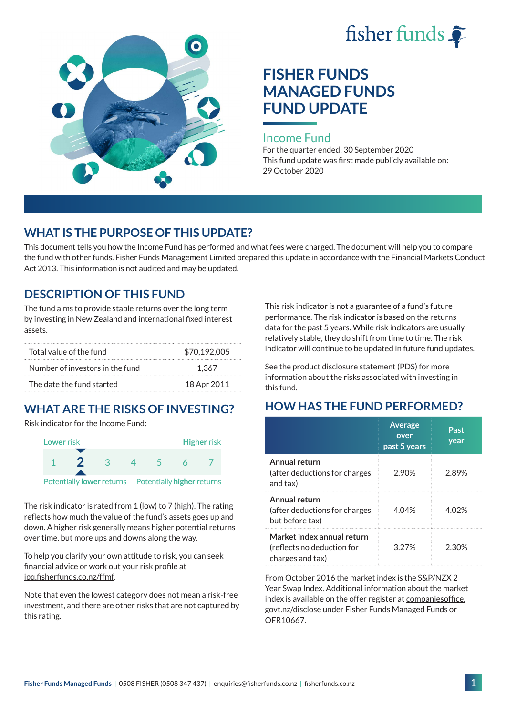



# **FISHER FUNDS MANAGED FUNDS FUND UPDATE**

#### Income Fund

For the quarter ended: 30 September 2020 This fund update was first made publicly available on: 29 October 2020

## **WHAT IS THE PURPOSE OF THIS UPDATE?**

This document tells you how the Income Fund has performed and what fees were charged. The document will help you to compare the fund with other funds. Fisher Funds Management Limited prepared this update in accordance with the Financial Markets Conduct Act 2013. This information is not audited and may be updated.

## **DESCRIPTION OF THIS FUND**

The fund aims to provide stable returns over the long term by investing in New Zealand and international fixed interest assets.

| Total value of the fund         | \$70,192,005 |
|---------------------------------|--------------|
| Number of investors in the fund | 1.367        |
| The date the fund started       | 18 Apr 2011  |

# **WHAT ARE THE RISKS OF INVESTING?**

Risk indicator for the Income Fund:



The risk indicator is rated from 1 (low) to 7 (high). The rating reflects how much the value of the fund's assets goes up and down. A higher risk generally means higher potential returns over time, but more ups and downs along the way.

To help you clarify your own attitude to risk, you can seek financial advice or work out your risk profile at [ipq.fisherfunds.co.nz/ffmf](https://ipq.fisherfunds.co.nz/ffmf).

Note that even the lowest category does not mean a risk-free investment, and there are other risks that are not captured by this rating.

This risk indicator is not a guarantee of a fund's future performance. The risk indicator is based on the returns data for the past 5 years. While risk indicators are usually relatively stable, they do shift from time to time. The risk indicator will continue to be updated in future fund updates.

See the [product disclosure statement \(PDS\)](https://fisherfunds.co.nz/assets/PDS/Fisher-Funds-Managed-Funds-PDS.pdf) for more information about the risks associated with investing in this fund.

# **HOW HAS THE FUND PERFORMED?**

|                                                                              | <b>Average</b><br>over<br>past 5 years | Past<br>year |
|------------------------------------------------------------------------------|----------------------------------------|--------------|
| Annual return<br>(after deductions for charges<br>and tax)                   | 2.90%                                  | 2.89%        |
| Annual return<br>(after deductions for charges<br>but before tax)            | 4.04%                                  | 4.02%        |
| Market index annual return<br>(reflects no deduction for<br>charges and tax) | 3 2 7 %                                | 2.30%        |

From October 2016 the market index is the S&P/NZX 2 Year Swap Index. Additional information about the market index is available on the offer register at [companiesoffice.](http://companiesoffice.govt.nz/disclose) [govt.nz/disclose](http://companiesoffice.govt.nz/disclose) under Fisher Funds Managed Funds or OFR10667.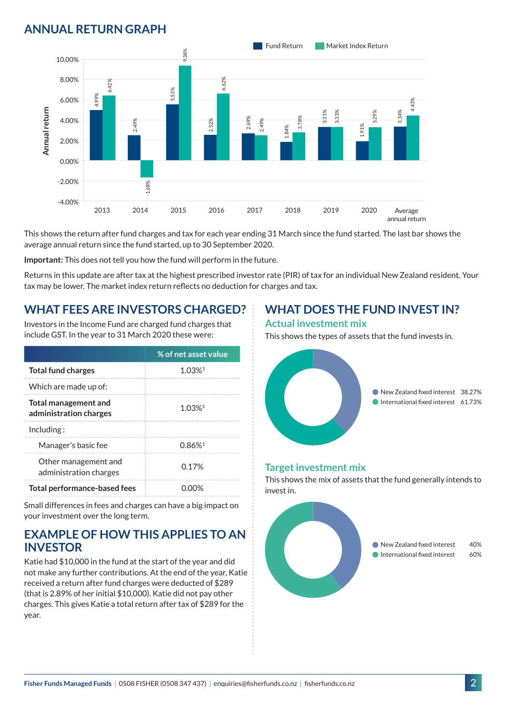# **ANNUAL RETURN GRAPH**



This shows the return after fund charges and tax for each year ending 31 March since the fund started. The last bar shows the average annual return since the fund started, up to 30 September 2020.

**Important:** This does not tell you how the fund will perform in the future.

Returns in this update are after tax at the highest prescribed investor rate (PIR) of tax for an individual New Zealand resident. Your tax may be lower. The market index return reflects no deduction for charges and tax.

#### **WHAT FEES ARE INVESTORS CHARGED?**

Investors in the Income Fund are charged fund charges that include GST. In the year to 31 March 2020 these were:

|                                                       | % of net asset value |  |
|-------------------------------------------------------|----------------------|--|
| <b>Total fund charges</b>                             | $1.03%$ <sup>1</sup> |  |
| Which are made up of:                                 |                      |  |
| <b>Total management and</b><br>administration charges | 1 0.3%1              |  |
| Inding:                                               |                      |  |
| Manager's basic fee                                   | 0.86%                |  |
| Other management and<br>administration charges        | 0.17 <sup>%</sup>    |  |
| <b>Total performance-based fees</b>                   |                      |  |

Small differences in fees and charges can have a big impact on your investment over the long term.

#### **EXAMPLE OF HOW THIS APPLIES TO AN INVESTOR**

Katie had \$10,000 in the fund at the start of the year and did not make any further contributions. At the end of the year, Katie received a return after fund charges were deducted of \$289 (that is 2.89% of her initial \$10,000). Katie did not pay other charges. This gives Katie a total return after tax of \$289 for the year.

## **WHAT DOES THE FUND INVEST IN?**

#### **Actual investment mix**

This shows the types of assets that the fund invests in.



#### **Target investment mix**

This shows the mix of assets that the fund generally intends to invest in.